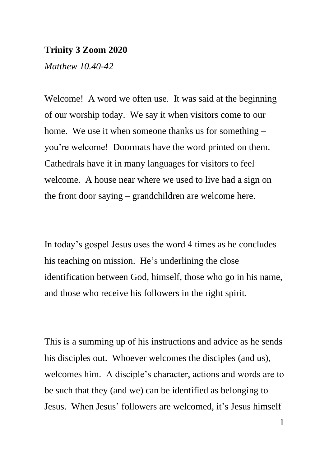## **Trinity 3 Zoom 2020**

*Matthew 10.40-42*

Welcome! A word we often use. It was said at the beginning of our worship today. We say it when visitors come to our home. We use it when someone thanks us for something – you're welcome! Doormats have the word printed on them. Cathedrals have it in many languages for visitors to feel welcome. A house near where we used to live had a sign on the front door saying – grandchildren are welcome here.

In today's gospel Jesus uses the word 4 times as he concludes his teaching on mission. He's underlining the close identification between God, himself, those who go in his name, and those who receive his followers in the right spirit.

This is a summing up of his instructions and advice as he sends his disciples out. Whoever welcomes the disciples (and us), welcomes him. A disciple's character, actions and words are to be such that they (and we) can be identified as belonging to Jesus. When Jesus' followers are welcomed, it's Jesus himself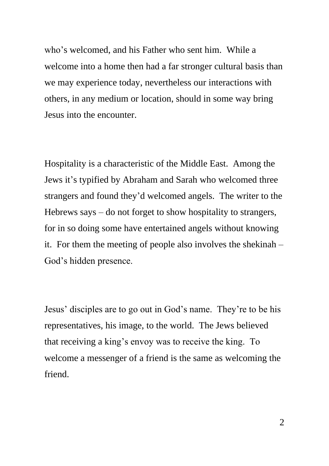who's welcomed, and his Father who sent him. While a welcome into a home then had a far stronger cultural basis than we may experience today, nevertheless our interactions with others, in any medium or location, should in some way bring Jesus into the encounter.

Hospitality is a characteristic of the Middle East. Among the Jews it's typified by Abraham and Sarah who welcomed three strangers and found they'd welcomed angels. The writer to the Hebrews says – do not forget to show hospitality to strangers, for in so doing some have entertained angels without knowing it. For them the meeting of people also involves the shekinah – God's hidden presence.

Jesus' disciples are to go out in God's name. They're to be his representatives, his image, to the world. The Jews believed that receiving a king's envoy was to receive the king. To welcome a messenger of a friend is the same as welcoming the friend.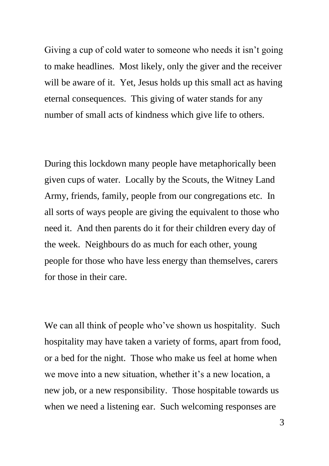Giving a cup of cold water to someone who needs it isn't going to make headlines. Most likely, only the giver and the receiver will be aware of it. Yet, Jesus holds up this small act as having eternal consequences. This giving of water stands for any number of small acts of kindness which give life to others.

During this lockdown many people have metaphorically been given cups of water. Locally by the Scouts, the Witney Land Army, friends, family, people from our congregations etc. In all sorts of ways people are giving the equivalent to those who need it. And then parents do it for their children every day of the week. Neighbours do as much for each other, young people for those who have less energy than themselves, carers for those in their care.

We can all think of people who've shown us hospitality. Such hospitality may have taken a variety of forms, apart from food, or a bed for the night. Those who make us feel at home when we move into a new situation, whether it's a new location, a new job, or a new responsibility. Those hospitable towards us when we need a listening ear. Such welcoming responses are

3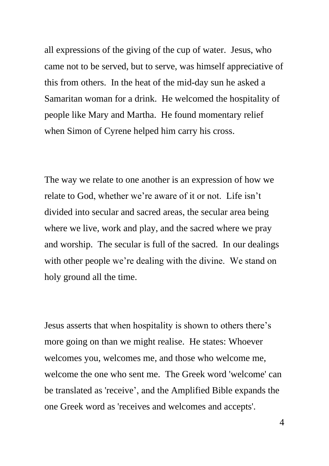all expressions of the giving of the cup of water. Jesus, who came not to be served, but to serve, was himself appreciative of this from others. In the heat of the mid-day sun he asked a Samaritan woman for a drink. He welcomed the hospitality of people like Mary and Martha. He found momentary relief when Simon of Cyrene helped him carry his cross.

The way we relate to one another is an expression of how we relate to God, whether we're aware of it or not. Life isn't divided into secular and sacred areas, the secular area being where we live, work and play, and the sacred where we pray and worship. The secular is full of the sacred. In our dealings with other people we're dealing with the divine. We stand on holy ground all the time.

Jesus asserts that when hospitality is shown to others there's more going on than we might realise. He states: Whoever welcomes you, welcomes me, and those who welcome me, welcome the one who sent me. The Greek word 'welcome' can be translated as 'receive', and the Amplified Bible expands the one Greek word as 'receives and welcomes and accepts'.

4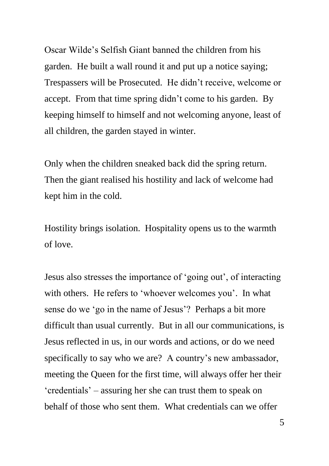Oscar Wilde's Selfish Giant banned the children from his garden. He built a wall round it and put up a notice saying; Trespassers will be Prosecuted. He didn't receive, welcome or accept. From that time spring didn't come to his garden. By keeping himself to himself and not welcoming anyone, least of all children, the garden stayed in winter.

Only when the children sneaked back did the spring return. Then the giant realised his hostility and lack of welcome had kept him in the cold.

Hostility brings isolation. Hospitality opens us to the warmth of love.

Jesus also stresses the importance of 'going out', of interacting with others. He refers to 'whoever welcomes you'. In what sense do we 'go in the name of Jesus'? Perhaps a bit more difficult than usual currently. But in all our communications, is Jesus reflected in us, in our words and actions, or do we need specifically to say who we are? A country's new ambassador, meeting the Queen for the first time, will always offer her their 'credentials' – assuring her she can trust them to speak on behalf of those who sent them. What credentials can we offer